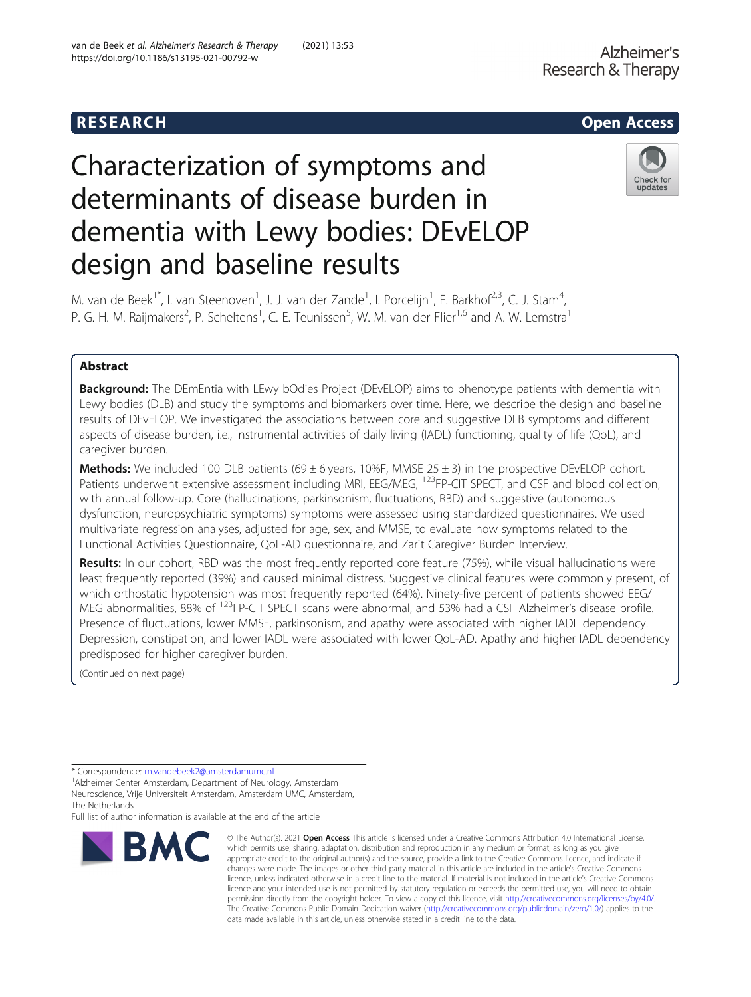# Characterization of symptoms and determinants of disease burden in dementia with Lewy bodies: DEvELOP design and baseline results



M. van de Beek<sup>1\*</sup>, I. van Steenoven<sup>1</sup>, J. J. van der Zande<sup>1</sup>, I. Porcelijn<sup>1</sup>, F. Barkhof<sup>2,3</sup>, C. J. Stam<sup>4</sup> , P. G. H. M. Raijmakers<sup>2</sup>, P. Scheltens<sup>1</sup>, C. E. Teunissen<sup>5</sup>, W. M. van der Flier<sup>1,6</sup> and A. W. Lemstra<sup>1</sup>

# Abstract

**Background:** The DEmEntia with LEwy bOdies Project (DEvELOP) aims to phenotype patients with dementia with Lewy bodies (DLB) and study the symptoms and biomarkers over time. Here, we describe the design and baseline results of DEvELOP. We investigated the associations between core and suggestive DLB symptoms and different aspects of disease burden, i.e., instrumental activities of daily living (IADL) functioning, quality of life (QoL), and caregiver burden.

**Methods:** We included 100 DLB patients (69  $\pm$  6 years, 10%F, MMSE 25  $\pm$  3) in the prospective DEvELOP cohort. Patients underwent extensive assessment including MRI, EEG/MEG, <sup>123</sup>FP-CIT SPECT, and CSF and blood collection, with annual follow-up. Core (hallucinations, parkinsonism, fluctuations, RBD) and suggestive (autonomous dysfunction, neuropsychiatric symptoms) symptoms were assessed using standardized questionnaires. We used multivariate regression analyses, adjusted for age, sex, and MMSE, to evaluate how symptoms related to the Functional Activities Questionnaire, QoL-AD questionnaire, and Zarit Caregiver Burden Interview.

Results: In our cohort, RBD was the most frequently reported core feature (75%), while visual hallucinations were least frequently reported (39%) and caused minimal distress. Suggestive clinical features were commonly present, of which orthostatic hypotension was most frequently reported (64%). Ninety-five percent of patients showed EEG/ MEG abnormalities, 88% of <sup>123</sup>FP-CIT SPECT scans were abnormal, and 53% had a CSF Alzheimer's disease profile. Presence of fluctuations, lower MMSE, parkinsonism, and apathy were associated with higher IADL dependency. Depression, constipation, and lower IADL were associated with lower QoL-AD. Apathy and higher IADL dependency predisposed for higher caregiver burden.

(Continued on next page)

Full list of author information is available at the end of the article



<sup>©</sup> The Author(s), 2021 **Open Access** This article is licensed under a Creative Commons Attribution 4.0 International License, which permits use, sharing, adaptation, distribution and reproduction in any medium or format, as long as you give appropriate credit to the original author(s) and the source, provide a link to the Creative Commons licence, and indicate if changes were made. The images or other third party material in this article are included in the article's Creative Commons licence, unless indicated otherwise in a credit line to the material. If material is not included in the article's Creative Commons licence and your intended use is not permitted by statutory regulation or exceeds the permitted use, you will need to obtain permission directly from the copyright holder. To view a copy of this licence, visit [http://creativecommons.org/licenses/by/4.0/.](http://creativecommons.org/licenses/by/4.0/) The Creative Commons Public Domain Dedication waiver [\(http://creativecommons.org/publicdomain/zero/1.0/](http://creativecommons.org/publicdomain/zero/1.0/)) applies to the data made available in this article, unless otherwise stated in a credit line to the data.

<sup>\*</sup> Correspondence: [m.vandebeek2@amsterdamumc.nl](mailto:m.vandebeek2@amsterdamumc.nl) <sup>1</sup>

Alzheimer Center Amsterdam, Department of Neurology, Amsterdam Neuroscience, Vrije Universiteit Amsterdam, Amsterdam UMC, Amsterdam, The Netherlands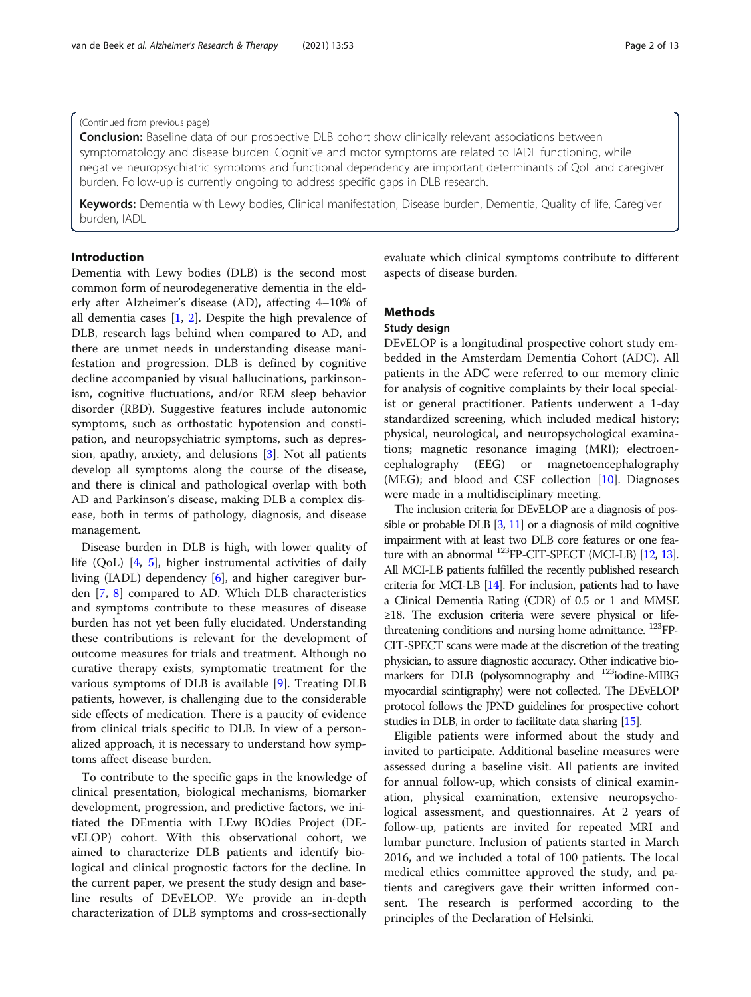#### (Continued from previous page)

**Conclusion:** Baseline data of our prospective DLB cohort show clinically relevant associations between symptomatology and disease burden. Cognitive and motor symptoms are related to IADL functioning, while negative neuropsychiatric symptoms and functional dependency are important determinants of QoL and caregiver burden. Follow-up is currently ongoing to address specific gaps in DLB research.

Keywords: Dementia with Lewy bodies, Clinical manifestation, Disease burden, Dementia, Quality of life, Caregiver burden, IADL

# Introduction

Dementia with Lewy bodies (DLB) is the second most common form of neurodegenerative dementia in the elderly after Alzheimer's disease (AD), affecting 4–10% of all dementia cases [[1,](#page-10-0) [2](#page-10-0)]. Despite the high prevalence of DLB, research lags behind when compared to AD, and there are unmet needs in understanding disease manifestation and progression. DLB is defined by cognitive decline accompanied by visual hallucinations, parkinsonism, cognitive fluctuations, and/or REM sleep behavior disorder (RBD). Suggestive features include autonomic symptoms, such as orthostatic hypotension and constipation, and neuropsychiatric symptoms, such as depression, apathy, anxiety, and delusions [[3](#page-10-0)]. Not all patients develop all symptoms along the course of the disease, and there is clinical and pathological overlap with both AD and Parkinson's disease, making DLB a complex disease, both in terms of pathology, diagnosis, and disease management.

Disease burden in DLB is high, with lower quality of life (QoL) [[4,](#page-10-0) [5](#page-10-0)], higher instrumental activities of daily living (IADL) dependency [[6\]](#page-10-0), and higher caregiver burden [[7,](#page-10-0) [8\]](#page-10-0) compared to AD. Which DLB characteristics and symptoms contribute to these measures of disease burden has not yet been fully elucidated. Understanding these contributions is relevant for the development of outcome measures for trials and treatment. Although no curative therapy exists, symptomatic treatment for the various symptoms of DLB is available [[9\]](#page-10-0). Treating DLB patients, however, is challenging due to the considerable side effects of medication. There is a paucity of evidence from clinical trials specific to DLB. In view of a personalized approach, it is necessary to understand how symptoms affect disease burden.

To contribute to the specific gaps in the knowledge of clinical presentation, biological mechanisms, biomarker development, progression, and predictive factors, we initiated the DEmentia with LEwy BOdies Project (DEvELOP) cohort. With this observational cohort, we aimed to characterize DLB patients and identify biological and clinical prognostic factors for the decline. In the current paper, we present the study design and baseline results of DEvELOP. We provide an in-depth characterization of DLB symptoms and cross-sectionally evaluate which clinical symptoms contribute to different aspects of disease burden.

# **Methods**

#### Study design

DEvELOP is a longitudinal prospective cohort study embedded in the Amsterdam Dementia Cohort (ADC). All patients in the ADC were referred to our memory clinic for analysis of cognitive complaints by their local specialist or general practitioner. Patients underwent a 1-day standardized screening, which included medical history; physical, neurological, and neuropsychological examinations; magnetic resonance imaging (MRI); electroencephalography (EEG) or magnetoencephalography (MEG); and blood and CSF collection [\[10](#page-10-0)]. Diagnoses were made in a multidisciplinary meeting.

The inclusion criteria for DEvELOP are a diagnosis of possible or probable DLB [[3](#page-10-0), [11\]](#page-10-0) or a diagnosis of mild cognitive impairment with at least two DLB core features or one feature with an abnormal  $^{123}$ FP-CIT-SPECT (MCI-LB) [\[12,](#page-10-0) [13\]](#page-10-0). All MCI-LB patients fulfilled the recently published research criteria for MCI-LB [\[14\]](#page-10-0). For inclusion, patients had to have a Clinical Dementia Rating (CDR) of 0.5 or 1 and MMSE ≥18. The exclusion criteria were severe physical or lifethreatening conditions and nursing home admittance. <sup>123</sup>FP-CIT-SPECT scans were made at the discretion of the treating physician, to assure diagnostic accuracy. Other indicative biomarkers for DLB (polysomnography and <sup>123</sup>iodine-MIBG myocardial scintigraphy) were not collected. The DEvELOP protocol follows the JPND guidelines for prospective cohort studies in DLB, in order to facilitate data sharing [\[15](#page-10-0)].

Eligible patients were informed about the study and invited to participate. Additional baseline measures were assessed during a baseline visit. All patients are invited for annual follow-up, which consists of clinical examination, physical examination, extensive neuropsychological assessment, and questionnaires. At 2 years of follow-up, patients are invited for repeated MRI and lumbar puncture. Inclusion of patients started in March 2016, and we included a total of 100 patients. The local medical ethics committee approved the study, and patients and caregivers gave their written informed consent. The research is performed according to the principles of the Declaration of Helsinki.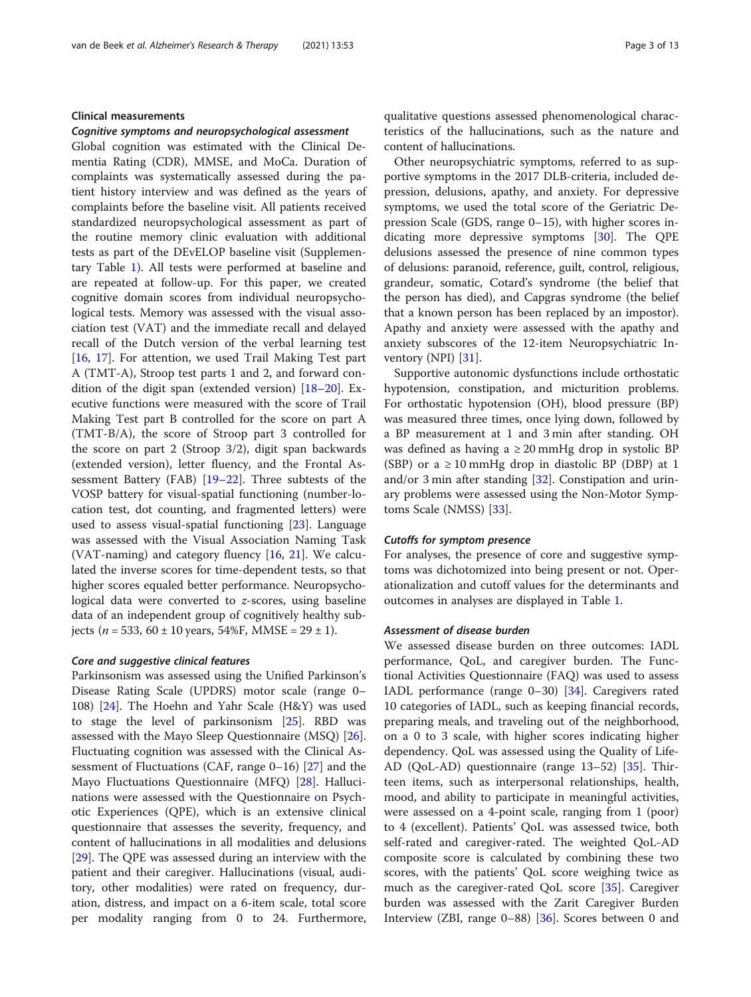#### Clinical measurements

#### Cognitive symptoms and neuropsychological assessment

Global cognition was estimated with the Clinical Dementia Rating (CDR), MMSE, and MoCa. Duration of complaints was systematically assessed during the patient history interview and was defined as the years of complaints before the baseline visit. All patients received standardized neuropsychological assessment as part of the routine memory clinic evaluation with additional tests as part of the DEvELOP baseline visit (Supplementary Table [1\)](#page-10-0). All tests were performed at baseline and are repeated at follow-up. For this paper, we created cognitive domain scores from individual neuropsychological tests. Memory was assessed with the visual association test (VAT) and the immediate recall and delayed recall of the Dutch version of the verbal learning test [[16,](#page-10-0) [17\]](#page-10-0). For attention, we used Trail Making Test part A (TMT-A), Stroop test parts 1 and 2, and forward condition of the digit span (extended version) [[18](#page-10-0)–[20](#page-10-0)]. Executive functions were measured with the score of Trail Making Test part B controlled for the score on part A (TMT-B/A), the score of Stroop part 3 controlled for the score on part 2 (Stroop 3/2), digit span backwards (extended version), letter fluency, and the Frontal Assessment Battery (FAB) [[19](#page-10-0)–[22](#page-10-0)]. Three subtests of the VOSP battery for visual-spatial functioning (number-location test, dot counting, and fragmented letters) were used to assess visual-spatial functioning [\[23](#page-10-0)]. Language was assessed with the Visual Association Naming Task (VAT-naming) and category fluency [[16,](#page-10-0) [21](#page-10-0)]. We calculated the inverse scores for time-dependent tests, so that higher scores equaled better performance. Neuropsychological data were converted to z-scores, using baseline data of an independent group of cognitively healthy subjects ( $n = 533, 60 \pm 10$  years, 54%F, MMSE = 29  $\pm$  1).

#### Core and suggestive clinical features

Parkinsonism was assessed using the Unified Parkinson's Disease Rating Scale (UPDRS) motor scale (range 0– 108) [[24\]](#page-10-0). The Hoehn and Yahr Scale (H&Y) was used to stage the level of parkinsonism [[25\]](#page-10-0). RBD was assessed with the Mayo Sleep Questionnaire (MSQ) [\[26](#page-10-0)]. Fluctuating cognition was assessed with the Clinical Assessment of Fluctuations (CAF, range 0–16) [[27](#page-11-0)] and the Mayo Fluctuations Questionnaire (MFQ) [[28\]](#page-11-0). Hallucinations were assessed with the Questionnaire on Psychotic Experiences (QPE), which is an extensive clinical questionnaire that assesses the severity, frequency, and content of hallucinations in all modalities and delusions [[29\]](#page-11-0). The QPE was assessed during an interview with the patient and their caregiver. Hallucinations (visual, auditory, other modalities) were rated on frequency, duration, distress, and impact on a 6-item scale, total score per modality ranging from 0 to 24. Furthermore,

qualitative questions assessed phenomenological characteristics of the hallucinations, such as the nature and content of hallucinations.

Other neuropsychiatric symptoms, referred to as supportive symptoms in the 2017 DLB-criteria, included depression, delusions, apathy, and anxiety. For depressive symptoms, we used the total score of the Geriatric Depression Scale (GDS, range 0–15), with higher scores indicating more depressive symptoms [\[30\]](#page-11-0). The QPE delusions assessed the presence of nine common types of delusions: paranoid, reference, guilt, control, religious, grandeur, somatic, Cotard's syndrome (the belief that the person has died), and Capgras syndrome (the belief that a known person has been replaced by an impostor). Apathy and anxiety were assessed with the apathy and anxiety subscores of the 12-item Neuropsychiatric In-ventory (NPI) [\[31\]](#page-11-0).

Supportive autonomic dysfunctions include orthostatic hypotension, constipation, and micturition problems. For orthostatic hypotension (OH), blood pressure (BP) was measured three times, once lying down, followed by a BP measurement at 1 and 3 min after standing. OH was defined as having a  $\geq 20$  mmHg drop in systolic BP (SBP) or a  $\geq 10$  mmHg drop in diastolic BP (DBP) at 1 and/or 3 min after standing [\[32\]](#page-11-0). Constipation and urinary problems were assessed using the Non-Motor Symptoms Scale (NMSS) [[33](#page-11-0)].

#### Cutoffs for symptom presence

For analyses, the presence of core and suggestive symptoms was dichotomized into being present or not. Operationalization and cutoff values for the determinants and outcomes in analyses are displayed in Table [1.](#page-3-0)

#### Assessment of disease burden

We assessed disease burden on three outcomes: IADL performance, QoL, and caregiver burden. The Functional Activities Questionnaire (FAQ) was used to assess IADL performance (range 0–30) [[34](#page-11-0)]. Caregivers rated 10 categories of IADL, such as keeping financial records, preparing meals, and traveling out of the neighborhood, on a 0 to 3 scale, with higher scores indicating higher dependency. QoL was assessed using the Quality of Life-AD (QoL-AD) questionnaire (range 13–52) [\[35](#page-11-0)]. Thirteen items, such as interpersonal relationships, health, mood, and ability to participate in meaningful activities, were assessed on a 4-point scale, ranging from 1 (poor) to 4 (excellent). Patients' QoL was assessed twice, both self-rated and caregiver-rated. The weighted QoL-AD composite score is calculated by combining these two scores, with the patients' QoL score weighing twice as much as the caregiver-rated QoL score [[35\]](#page-11-0). Caregiver burden was assessed with the Zarit Caregiver Burden Interview (ZBI, range 0–88) [\[36](#page-11-0)]. Scores between 0 and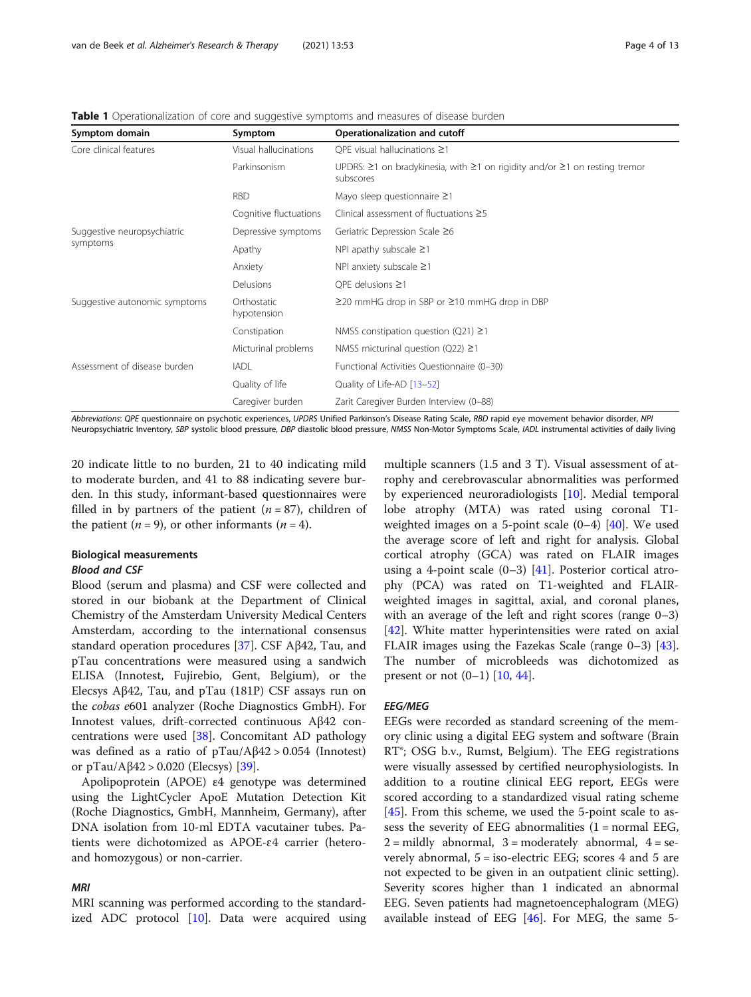| Symptom domain                          | Symptom                    | Operationalization and cutoff                                                           |
|-----------------------------------------|----------------------------|-----------------------------------------------------------------------------------------|
| Core clinical features                  | Visual hallucinations      | OPE visual hallucinations $\geq$ 1                                                      |
|                                         | Parkinsonism               | UPDRS: ≥1 on bradykinesia, with ≥1 on rigidity and/or ≥1 on resting tremor<br>subscores |
|                                         | <b>RBD</b>                 | Mayo sleep questionnaire $\geq$ 1                                                       |
|                                         | Cognitive fluctuations     | Clinical assessment of fluctuations $\geq$ 5                                            |
| Suggestive neuropsychiatric<br>symptoms | Depressive symptoms        | Geriatric Depression Scale ≥6                                                           |
|                                         | Apathy                     | NPI apathy subscale $\geq$ 1                                                            |
|                                         | Anxiety                    | NPI anxiety subscale $\geq$ 1                                                           |
|                                         | <b>Delusions</b>           | OPE delusions $\geq$ 1                                                                  |
| Suggestive autonomic symptoms           | Orthostatic<br>hypotension | $\geq$ 20 mmHG drop in SBP or $\geq$ 10 mmHG drop in DBP                                |
|                                         | Constipation               | NMSS constipation question (Q21) $\geq$ 1                                               |
|                                         | Micturinal problems        | NMSS micturinal question (Q22) $\geq$ 1                                                 |
| Assessment of disease burden            | <b>IADL</b>                | Functional Activities Questionnaire (0-30)                                              |
|                                         | Quality of life            | Quality of Life-AD [13-52]                                                              |
|                                         | Caregiver burden           | Zarit Caregiver Burden Interview (0-88)                                                 |

<span id="page-3-0"></span>Table 1 Operationalization of core and suggestive symptoms and measures of disease burden

Abbreviations: QPE questionnaire on psychotic experiences, UPDRS Unified Parkinson's Disease Rating Scale, RBD rapid eye movement behavior disorder, NPI Neuropsychiatric Inventory, SBP systolic blood pressure, DBP diastolic blood pressure, NMSS Non-Motor Symptoms Scale, IADL instrumental activities of daily living

20 indicate little to no burden, 21 to 40 indicating mild to moderate burden, and 41 to 88 indicating severe burden. In this study, informant-based questionnaires were filled in by partners of the patient  $(n = 87)$ , children of the patient ( $n = 9$ ), or other informants ( $n = 4$ ).

# Biological measurements

# Blood and CSF

Blood (serum and plasma) and CSF were collected and stored in our biobank at the Department of Clinical Chemistry of the Amsterdam University Medical Centers Amsterdam, according to the international consensus standard operation procedures [[37\]](#page-11-0). CSF Aβ42, Tau, and pTau concentrations were measured using a sandwich ELISA (Innotest, Fujirebio, Gent, Belgium), or the Elecsys Aβ42, Tau, and pTau (181P) CSF assays run on the cobas e601 analyzer (Roche Diagnostics GmbH). For Innotest values, drift-corrected continuous Aβ42 concentrations were used [[38](#page-11-0)]. Concomitant AD pathology was defined as a ratio of  $pTau/Aβ42 > 0.054$  (Innotest) or pTau/Aβ42 > 0.020 (Elecsys) [[39](#page-11-0)].

Apolipoprotein (APOE) ε4 genotype was determined using the LightCycler ApoE Mutation Detection Kit (Roche Diagnostics, GmbH, Mannheim, Germany), after DNA isolation from 10-ml EDTA vacutainer tubes. Patients were dichotomized as APOE-ɛ4 carrier (heteroand homozygous) or non-carrier.

# MRI

MRI scanning was performed according to the standardized ADC protocol  $[10]$  $[10]$ . Data were acquired using

multiple scanners (1.5 and 3 T). Visual assessment of atrophy and cerebrovascular abnormalities was performed by experienced neuroradiologists [[10\]](#page-10-0). Medial temporal lobe atrophy (MTA) was rated using coronal T1 weighted images on a 5-point scale  $(0-4)$  [\[40](#page-11-0)]. We used the average score of left and right for analysis. Global cortical atrophy (GCA) was rated on FLAIR images using a 4-point scale  $(0-3)$  [[41\]](#page-11-0). Posterior cortical atrophy (PCA) was rated on T1-weighted and FLAIRweighted images in sagittal, axial, and coronal planes, with an average of the left and right scores (range 0–3) [[42\]](#page-11-0). White matter hyperintensities were rated on axial FLAIR images using the Fazekas Scale (range 0–3) [\[43](#page-11-0)]. The number of microbleeds was dichotomized as present or not  $(0-1)$  [\[10](#page-10-0), [44](#page-11-0)].

#### EEG/MEG

EEGs were recorded as standard screening of the memory clinic using a digital EEG system and software (Brain RT®; OSG b.v., Rumst, Belgium). The EEG registrations were visually assessed by certified neurophysiologists. In addition to a routine clinical EEG report, EEGs were scored according to a standardized visual rating scheme [[45\]](#page-11-0). From this scheme, we used the 5-point scale to assess the severity of EEG abnormalities  $(1 = normal EEG,$  $2 =$  mildly abnormal,  $3 =$  moderately abnormal,  $4 =$  severely abnormal, 5 = iso-electric EEG; scores 4 and 5 are not expected to be given in an outpatient clinic setting). Severity scores higher than 1 indicated an abnormal EEG. Seven patients had magnetoencephalogram (MEG) available instead of EEG  $[46]$ . For MEG, the same 5-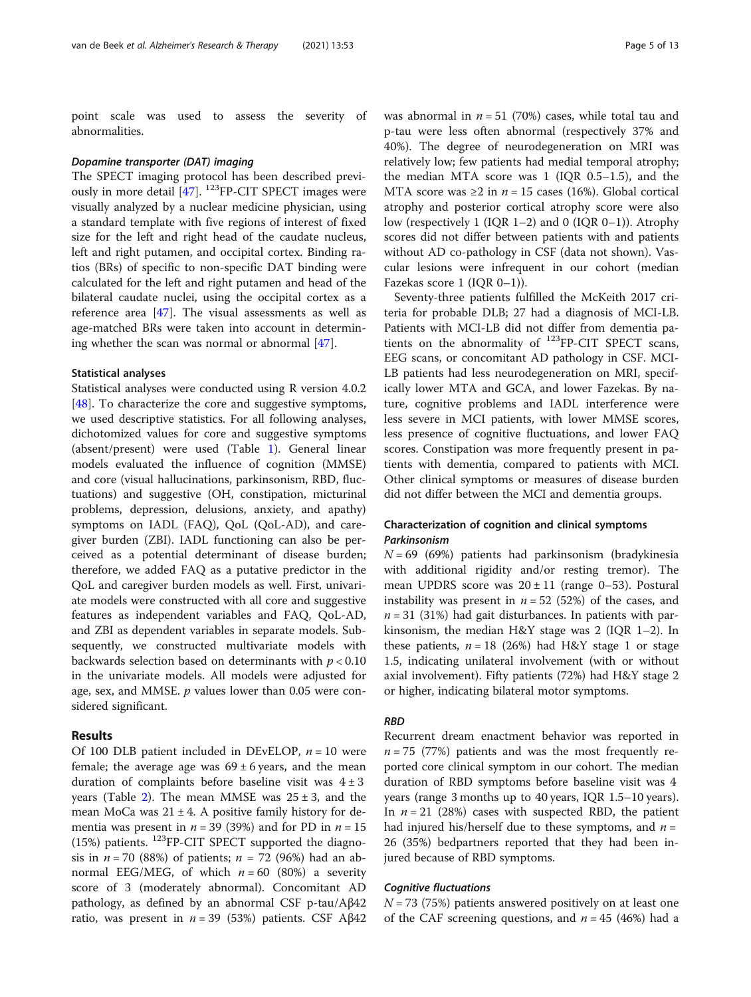point scale was used to assess the severity of abnormalities.

#### Dopamine transporter (DAT) imaging

The SPECT imaging protocol has been described previously in more detail [[47\]](#page-11-0). 123FP-CIT SPECT images were visually analyzed by a nuclear medicine physician, using a standard template with five regions of interest of fixed size for the left and right head of the caudate nucleus, left and right putamen, and occipital cortex. Binding ratios (BRs) of specific to non-specific DAT binding were calculated for the left and right putamen and head of the bilateral caudate nuclei, using the occipital cortex as a reference area [\[47](#page-11-0)]. The visual assessments as well as age-matched BRs were taken into account in determin-ing whether the scan was normal or abnormal [\[47\]](#page-11-0).

#### Statistical analyses

Statistical analyses were conducted using R version 4.0.2 [[48\]](#page-11-0). To characterize the core and suggestive symptoms, we used descriptive statistics. For all following analyses, dichotomized values for core and suggestive symptoms (absent/present) were used (Table [1](#page-3-0)). General linear models evaluated the influence of cognition (MMSE) and core (visual hallucinations, parkinsonism, RBD, fluctuations) and suggestive (OH, constipation, micturinal problems, depression, delusions, anxiety, and apathy) symptoms on IADL (FAQ), QoL (QoL-AD), and caregiver burden (ZBI). IADL functioning can also be perceived as a potential determinant of disease burden; therefore, we added FAQ as a putative predictor in the QoL and caregiver burden models as well. First, univariate models were constructed with all core and suggestive features as independent variables and FAQ, QoL-AD, and ZBI as dependent variables in separate models. Subsequently, we constructed multivariate models with backwards selection based on determinants with  $p < 0.10$ in the univariate models. All models were adjusted for age, sex, and MMSE.  $p$  values lower than 0.05 were considered significant.

### Results

Of 100 DLB patient included in DEvELOP,  $n = 10$  were female; the average age was  $69 \pm 6$  years, and the mean duration of complaints before baseline visit was  $4 \pm 3$ years (Table [2](#page-5-0)). The mean MMSE was  $25 \pm 3$ , and the mean MoCa was  $21 \pm 4$ . A positive family history for dementia was present in  $n = 39$  (39%) and for PD in  $n = 15$ (15%) patients.  $^{123}$ FP-CIT SPECT supported the diagnosis in  $n = 70$  (88%) of patients;  $n = 72$  (96%) had an abnormal EEG/MEG, of which  $n = 60$  (80%) a severity score of 3 (moderately abnormal). Concomitant AD pathology, as defined by an abnormal CSF p-tau/Aβ42 ratio, was present in  $n = 39$  (53%) patients. CSF Aβ42 was abnormal in  $n = 51$  (70%) cases, while total tau and p-tau were less often abnormal (respectively 37% and 40%). The degree of neurodegeneration on MRI was relatively low; few patients had medial temporal atrophy; the median MTA score was 1 (IQR 0.5–1.5), and the MTA score was  $\geq 2$  in  $n = 15$  cases (16%). Global cortical atrophy and posterior cortical atrophy score were also low (respectively 1 (IQR 1–2) and 0 (IQR 0–1)). Atrophy scores did not differ between patients with and patients without AD co-pathology in CSF (data not shown). Vascular lesions were infrequent in our cohort (median Fazekas score 1 (IQR 0–1)).

Seventy-three patients fulfilled the McKeith 2017 criteria for probable DLB; 27 had a diagnosis of MCI-LB. Patients with MCI-LB did not differ from dementia patients on the abnormality of  $^{123}$ FP-CIT SPECT scans, EEG scans, or concomitant AD pathology in CSF. MCI-LB patients had less neurodegeneration on MRI, specifically lower MTA and GCA, and lower Fazekas. By nature, cognitive problems and IADL interference were less severe in MCI patients, with lower MMSE scores, less presence of cognitive fluctuations, and lower FAQ scores. Constipation was more frequently present in patients with dementia, compared to patients with MCI. Other clinical symptoms or measures of disease burden did not differ between the MCI and dementia groups.

# Characterization of cognition and clinical symptoms Parkinsonism

 $N = 69$  (69%) patients had parkinsonism (bradykinesia with additional rigidity and/or resting tremor). The mean UPDRS score was  $20 \pm 11$  (range 0–53). Postural instability was present in  $n = 52$  (52%) of the cases, and  $n = 31$  (31%) had gait disturbances. In patients with parkinsonism, the median H&Y stage was 2 (IQR 1–2). In these patients,  $n = 18$  (26%) had H&Y stage 1 or stage 1.5, indicating unilateral involvement (with or without axial involvement). Fifty patients (72%) had H&Y stage 2 or higher, indicating bilateral motor symptoms.

# RBD

Recurrent dream enactment behavior was reported in  $n = 75$  (77%) patients and was the most frequently reported core clinical symptom in our cohort. The median duration of RBD symptoms before baseline visit was 4 years (range 3 months up to 40 years, IQR 1.5–10 years). In  $n = 21$  (28%) cases with suspected RBD, the patient had injured his/herself due to these symptoms, and  $n =$ 26 (35%) bedpartners reported that they had been injured because of RBD symptoms.

#### Cognitive fluctuations

 $N = 73$  (75%) patients answered positively on at least one of the CAF screening questions, and  $n = 45$  (46%) had a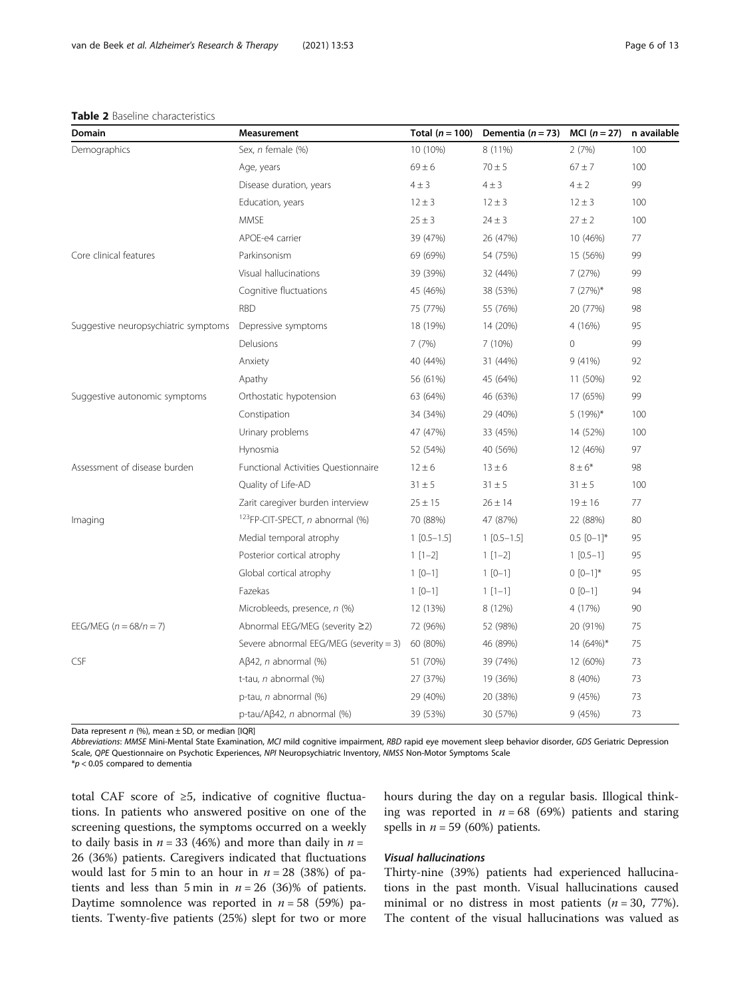#### <span id="page-5-0"></span>Table 2 Baseline characteristics

| Domain                               | Measurement                                        | Total $(n = 100)$ | Dementia ( $n = 73$ ) | $MCI(n = 27)$              | n available |
|--------------------------------------|----------------------------------------------------|-------------------|-----------------------|----------------------------|-------------|
| Demographics                         | Sex, n female (%)                                  | 10 (10%)          | 8 (11%)               | 2(7%)                      | 100         |
|                                      | Age, years                                         | $69 \pm 6$        | $70 \pm 5$            | $67 \pm 7$                 | 100         |
|                                      | Disease duration, years                            | $4 \pm 3$         | $4 \pm 3$             | $4 \pm 2$                  | 99          |
|                                      | Education, years                                   | $12 \pm 3$        | $12 \pm 3$            | $12 \pm 3$                 | 100         |
|                                      | <b>MMSE</b>                                        | $25 \pm 3$        | $24 \pm 3$            | $27 \pm 2$                 | 100         |
|                                      | APOE-e4 carrier                                    | 39 (47%)          | 26 (47%)              | 10 (46%)                   | 77          |
| Core clinical features               | Parkinsonism                                       | 69 (69%)          | 54 (75%)              | 15 (56%)                   | 99          |
|                                      | Visual hallucinations                              | 39 (39%)          | 32 (44%)              | 7 (27%)                    | 99          |
|                                      | Cognitive fluctuations                             | 45 (46%)          | 38 (53%)              | $7(27%)$ *                 | 98          |
|                                      | <b>RBD</b>                                         | 75 (77%)          | 55 (76%)              | 20 (77%)                   | 98          |
| Suggestive neuropsychiatric symptoms | Depressive symptoms                                | 18 (19%)          | 14 (20%)              | 4 (16%)                    | 95          |
|                                      | Delusions                                          | 7(7%)             | 7 (10%)               | $\mathbf 0$                | 99          |
|                                      | Anxiety                                            | 40 (44%)          | 31 (44%)              | 9(41%)                     | 92          |
|                                      | Apathy                                             | 56 (61%)          | 45 (64%)              | 11 (50%)                   | 92          |
| Suggestive autonomic symptoms        | Orthostatic hypotension                            | 63 (64%)          | 46 (63%)              | 17 (65%)                   | 99          |
|                                      | Constipation                                       | 34 (34%)          | 29 (40%)              | 5 $(19%)^*$                | 100         |
|                                      | Urinary problems                                   | 47 (47%)          | 33 (45%)              | 14 (52%)                   | 100         |
|                                      | Hynosmia                                           | 52 (54%)          | 40 (56%)              | 12 (46%)                   | 97          |
| Assessment of disease burden         | Functional Activities Questionnaire                | $12 \pm 6$        | $13 \pm 6$            | $8 \pm 6*$                 | 98          |
|                                      | Quality of Life-AD                                 | $31 \pm 5$        | $31 \pm 5$            | $31 \pm 5$                 | 100         |
|                                      | Zarit caregiver burden interview                   | $25 \pm 15$       | $26 \pm 14$           | $19 \pm 16$                | 77          |
| Imaging                              | <sup>123</sup> FP-CIT-SPECT, <i>n</i> abnormal (%) | 70 (88%)          | 47 (87%)              | 22 (88%)                   | 80          |
|                                      | Medial temporal atrophy                            | $1[0.5-1.5]$      | $1[0.5-1.5]$          | $0.5$ $[0-1]$ <sup>*</sup> | 95          |
|                                      | Posterior cortical atrophy                         | $1[1-2]$          | $1[1-2]$              | $1[0.5-1]$                 | 95          |
|                                      | Global cortical atrophy                            | $1 [0-1]$         | $1 [0-1]$             | $0 [0-1]*$                 | 95          |
|                                      | Fazekas                                            | $1 [0-1]$         | $1[1-1]$              | $0 [0-1]$                  | 94          |
|                                      | Microbleeds, presence, n (%)                       | 12 (13%)          | 8 (12%)               | 4 (17%)                    | 90          |
| EEG/MEG $(n = 68/n = 7)$             | Abnormal EEG/MEG (severity ≥2)                     | 72 (96%)          | 52 (98%)              | 20 (91%)                   | 75          |
|                                      | Severe abnormal EEG/MEG (severity = 3)             | 60 (80%)          | 46 (89%)              | 14 (64%)*                  | 75          |
| CSF                                  | $A\beta$ 42, <i>n</i> abnormal (%)                 | 51 (70%)          | 39 (74%)              | 12 (60%)                   | 73          |
|                                      | t-tau, n abnormal (%)                              | 27 (37%)          | 19 (36%)              | 8 (40%)                    | 73          |
|                                      | p-tau, n abnormal (%)                              | 29 (40%)          | 20 (38%)              | 9(45%)                     | 73          |
|                                      | p-tau/Aβ42, <i>n</i> abnormal (%)                  | 39 (53%)          | 30 (57%)              | 9(45%)                     | 73          |

Data represent  $n$  (%), mean  $\pm$  SD, or median [IQR]

Abbreviations: MMSE Mini-Mental State Examination, MCI mild cognitive impairment, RBD rapid eye movement sleep behavior disorder, GDS Geriatric Depression Scale, QPE Questionnaire on Psychotic Experiences, NPI Neuropsychiatric Inventory, NMSS Non-Motor Symptoms Scale

 $*p$  < 0.05 compared to dementia

total CAF score of ≥5, indicative of cognitive fluctuations. In patients who answered positive on one of the screening questions, the symptoms occurred on a weekly to daily basis in  $n = 33$  (46%) and more than daily in  $n =$ 26 (36%) patients. Caregivers indicated that fluctuations would last for 5 min to an hour in  $n = 28$  (38%) of patients and less than 5 min in  $n = 26$  (36)% of patients. Daytime somnolence was reported in  $n = 58$  (59%) patients. Twenty-five patients (25%) slept for two or more hours during the day on a regular basis. Illogical thinking was reported in  $n = 68$  (69%) patients and staring spells in  $n = 59$  (60%) patients.

# Visual hallucinations

Thirty-nine (39%) patients had experienced hallucinations in the past month. Visual hallucinations caused minimal or no distress in most patients  $(n = 30, 77\%)$ . The content of the visual hallucinations was valued as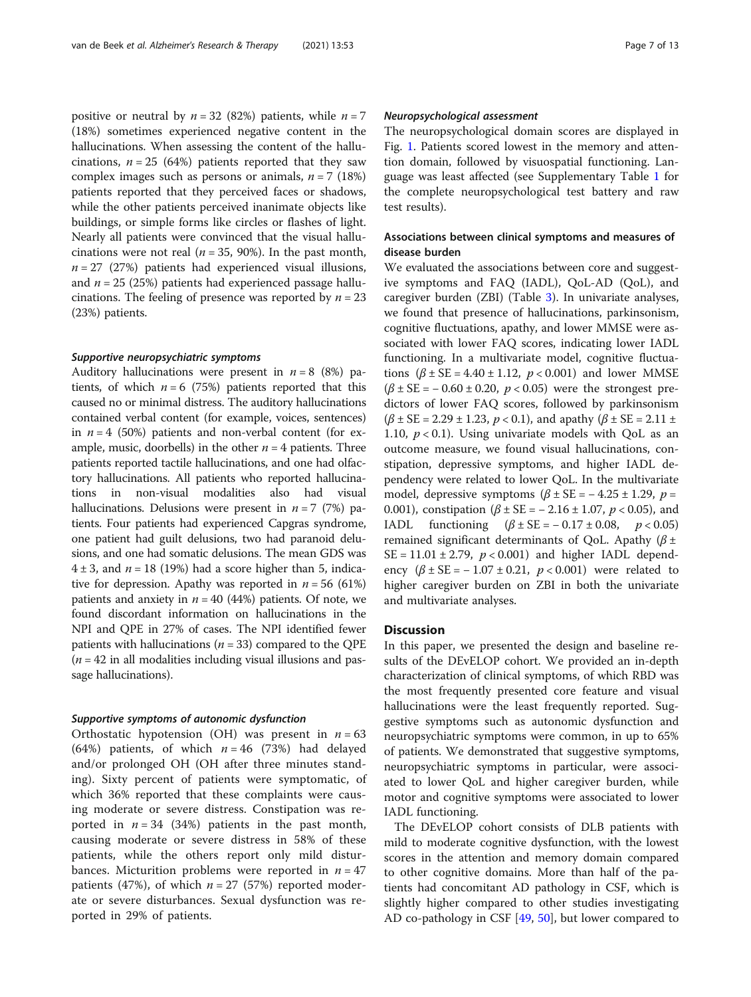positive or neutral by  $n = 32$  (82%) patients, while  $n = 7$ (18%) sometimes experienced negative content in the hallucinations. When assessing the content of the hallucinations,  $n = 25$  (64%) patients reported that they saw complex images such as persons or animals,  $n = 7$  (18%) patients reported that they perceived faces or shadows, while the other patients perceived inanimate objects like buildings, or simple forms like circles or flashes of light. Nearly all patients were convinced that the visual hallucinations were not real ( $n = 35$ , 90%). In the past month,  $n = 27$  (27%) patients had experienced visual illusions, and  $n = 25$  (25%) patients had experienced passage hallucinations. The feeling of presence was reported by  $n = 23$ (23%) patients.

#### Supportive neuropsychiatric symptoms

Auditory hallucinations were present in  $n = 8$  (8%) patients, of which  $n = 6$  (75%) patients reported that this caused no or minimal distress. The auditory hallucinations contained verbal content (for example, voices, sentences) in  $n = 4$  (50%) patients and non-verbal content (for example, music, doorbells) in the other  $n = 4$  patients. Three patients reported tactile hallucinations, and one had olfactory hallucinations. All patients who reported hallucinations in non-visual modalities also had visual hallucinations. Delusions were present in  $n = 7$  (7%) patients. Four patients had experienced Capgras syndrome, one patient had guilt delusions, two had paranoid delusions, and one had somatic delusions. The mean GDS was  $4 \pm 3$ , and  $n = 18$  (19%) had a score higher than 5, indicative for depression. Apathy was reported in  $n = 56$  (61%) patients and anxiety in  $n = 40$  (44%) patients. Of note, we found discordant information on hallucinations in the NPI and QPE in 27% of cases. The NPI identified fewer patients with hallucinations ( $n = 33$ ) compared to the QPE  $(n = 42$  in all modalities including visual illusions and passage hallucinations).

#### Supportive symptoms of autonomic dysfunction

Orthostatic hypotension (OH) was present in  $n = 63$ (64%) patients, of which  $n = 46$  (73%) had delayed and/or prolonged OH (OH after three minutes standing). Sixty percent of patients were symptomatic, of which 36% reported that these complaints were causing moderate or severe distress. Constipation was reported in  $n = 34$  (34%) patients in the past month, causing moderate or severe distress in 58% of these patients, while the others report only mild disturbances. Micturition problems were reported in  $n = 47$ patients (47%), of which  $n = 27$  (57%) reported moderate or severe disturbances. Sexual dysfunction was reported in 29% of patients.

#### Neuropsychological assessment

The neuropsychological domain scores are displayed in Fig. [1.](#page-7-0) Patients scored lowest in the memory and attention domain, followed by visuospatial functioning. Language was least affected (see Supplementary Table [1](#page-10-0) for the complete neuropsychological test battery and raw test results).

# Associations between clinical symptoms and measures of disease burden

We evaluated the associations between core and suggestive symptoms and FAQ (IADL), QoL-AD (QoL), and caregiver burden (ZBI) (Table [3\)](#page-7-0). In univariate analyses, we found that presence of hallucinations, parkinsonism, cognitive fluctuations, apathy, and lower MMSE were associated with lower FAQ scores, indicating lower IADL functioning. In a multivariate model, cognitive fluctuations  $(\beta \pm SE = 4.40 \pm 1.12, p < 0.001)$  and lower MMSE  $(\beta \pm SE = -0.60 \pm 0.20, p < 0.05)$  were the strongest predictors of lower FAQ scores, followed by parkinsonism  $(\beta \pm SE = 2.29 \pm 1.23, p < 0.1)$ , and apathy  $(\beta \pm SE = 2.11 \pm 1.23, p < 0.1)$ 1.10,  $p < 0.1$ ). Using univariate models with QoL as an outcome measure, we found visual hallucinations, constipation, depressive symptoms, and higher IADL dependency were related to lower QoL. In the multivariate model, depressive symptoms  $(\beta \pm SE = -4.25 \pm 1.29, p =$ 0.001), constipation  $(\beta \pm SE = -2.16 \pm 1.07, p < 0.05)$ , and IADL functioning  $(\beta \pm SE = -0.17 \pm 0.08, p < 0.05)$ remained significant determinants of QoL. Apathy ( $\beta$  ±  $SE = 11.01 \pm 2.79$ ,  $p < 0.001$ ) and higher IADL dependency  $(\beta \pm SE = -1.07 \pm 0.21, p < 0.001)$  were related to higher caregiver burden on ZBI in both the univariate and multivariate analyses.

#### **Discussion**

In this paper, we presented the design and baseline results of the DEvELOP cohort. We provided an in-depth characterization of clinical symptoms, of which RBD was the most frequently presented core feature and visual hallucinations were the least frequently reported. Suggestive symptoms such as autonomic dysfunction and neuropsychiatric symptoms were common, in up to 65% of patients. We demonstrated that suggestive symptoms, neuropsychiatric symptoms in particular, were associated to lower QoL and higher caregiver burden, while motor and cognitive symptoms were associated to lower IADL functioning.

The DEvELOP cohort consists of DLB patients with mild to moderate cognitive dysfunction, with the lowest scores in the attention and memory domain compared to other cognitive domains. More than half of the patients had concomitant AD pathology in CSF, which is slightly higher compared to other studies investigating AD co-pathology in CSF [[49](#page-11-0), [50](#page-11-0)], but lower compared to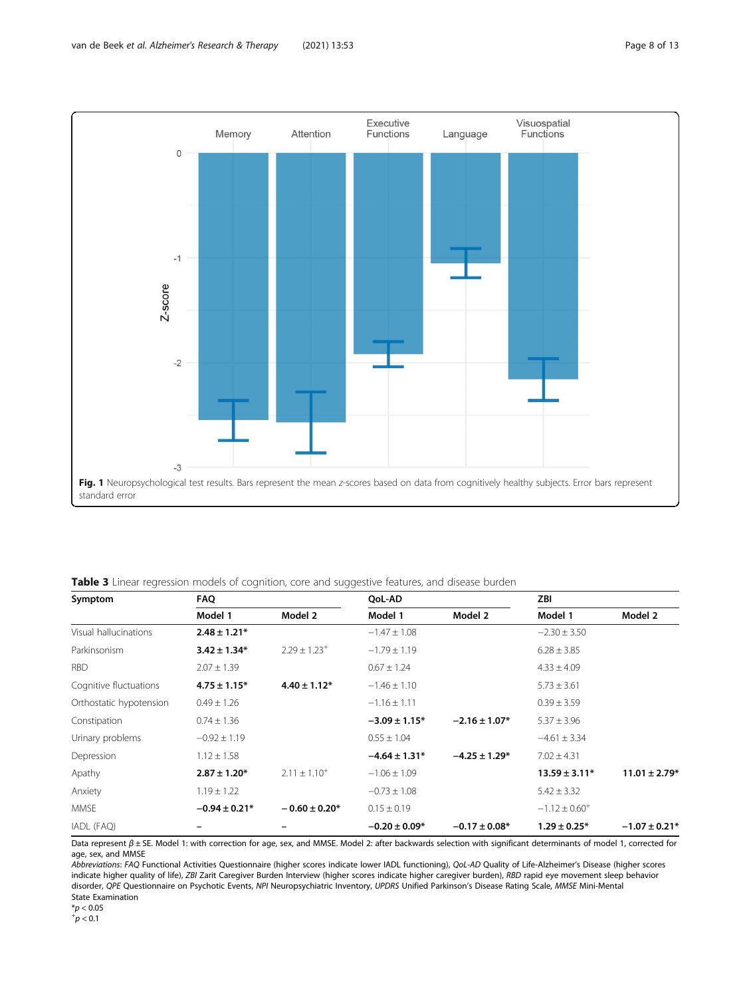<span id="page-7-0"></span>

Table 3 Linear regression models of cognition, core and suggestive features, and disease burden

| Symptom                 | <b>FAQ</b>        |                              | OoL-AD             |                   | ZBI                |                   |
|-------------------------|-------------------|------------------------------|--------------------|-------------------|--------------------|-------------------|
|                         | Model 1           | Model 2                      | Model 1            | Model 2           | Model 1            | Model 2           |
| Visual hallucinations   | $2.48 \pm 1.21*$  |                              | $-1.47 \pm 1.08$   |                   | $-2.30 \pm 3.50$   |                   |
| Parkinsonism            | $3.42 \pm 1.34*$  | $2.29 \pm 1.23$ <sup>+</sup> | $-1.79 \pm 1.19$   |                   | $6.28 \pm 3.85$    |                   |
| <b>RBD</b>              | $2.07 \pm 1.39$   |                              | $0.67 \pm 1.24$    |                   | $4.33 \pm 4.09$    |                   |
| Cognitive fluctuations  | $4.75 \pm 1.15*$  | $4.40 \pm 1.12^*$            | $-1.46 \pm 1.10$   |                   | $5.73 \pm 3.61$    |                   |
| Orthostatic hypotension | $0.49 \pm 1.26$   |                              | $-1.16 \pm 1.11$   |                   | $0.39 \pm 3.59$    |                   |
| Constipation            | $0.74 \pm 1.36$   |                              | $-3.09 \pm 1.15^*$ | $-2.16 \pm 1.07*$ | $5.37 \pm 3.96$    |                   |
| Urinary problems        | $-0.92 \pm 1.19$  |                              | $0.55 \pm 1.04$    |                   | $-4.61 \pm 3.34$   |                   |
| Depression              | $1.12 \pm 1.58$   |                              | $-4.64 \pm 1.31*$  | $-4.25 \pm 1.29*$ | $7.02 \pm 4.31$    |                   |
| Apathy                  | $2.87 \pm 1.20*$  | $2.11 \pm 1.10^{+}$          | $-1.06 \pm 1.09$   |                   | $13.59 \pm 3.11*$  | $11.01 \pm 2.79*$ |
| Anxiety                 | $1.19 \pm 1.22$   |                              | $-0.73 \pm 1.08$   |                   | $5.42 \pm 3.32$    |                   |
| <b>MMSE</b>             | $-0.94 \pm 0.21*$ | $-0.60 \pm 0.20*$            | $0.15 \pm 0.19$    |                   | $-1.12 \pm 0.60^+$ |                   |
| IADL (FAQ)              |                   |                              | $-0.20 \pm 0.09*$  | $-0.17 \pm 0.08*$ | $1.29 \pm 0.25^*$  | $-1.07 \pm 0.21*$ |

Data represent β ± SE. Model 1: with correction for age, sex, and MMSE. Model 2: after backwards selection with significant determinants of model 1, corrected for age, sex, and MMSE

Abbreviations: FAQ Functional Activities Questionnaire (higher scores indicate lower IADL functioning), QoL-AD Quality of Life-Alzheimer's Disease (higher scores indicate higher quality of life), ZBI Zarit Caregiver Burden Interview (higher scores indicate higher caregiver burden), RBD rapid eye movement sleep behavior disorder, QPE Questionnaire on Psychotic Events, NPI Neuropsychiatric Inventory, UPDRS Unified Parkinson's Disease Rating Scale, MMSE Mini-Mental State Examination

 $*p < 0.05$ 

 $^{+}p < 0.1$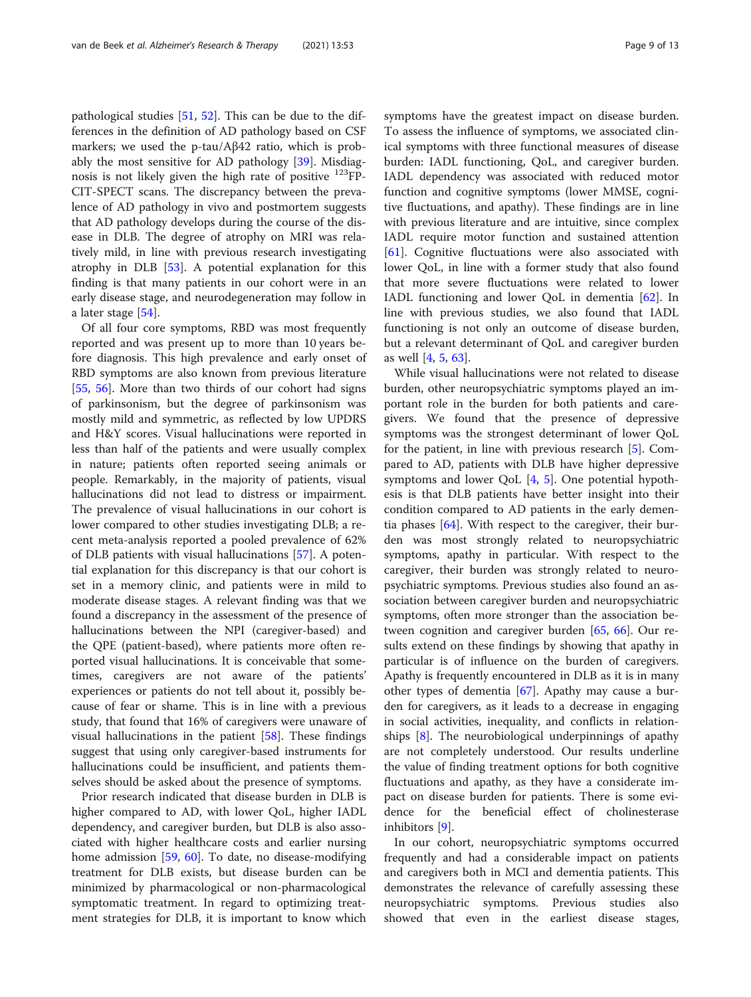pathological studies [\[51](#page-11-0), [52](#page-11-0)]. This can be due to the differences in the definition of AD pathology based on CSF markers; we used the p-tau/Aβ42 ratio, which is probably the most sensitive for AD pathology [[39\]](#page-11-0). Misdiagnosis is not likely given the high rate of positive 123FP-CIT-SPECT scans. The discrepancy between the prevalence of AD pathology in vivo and postmortem suggests that AD pathology develops during the course of the disease in DLB. The degree of atrophy on MRI was relatively mild, in line with previous research investigating atrophy in DLB [[53\]](#page-11-0). A potential explanation for this finding is that many patients in our cohort were in an early disease stage, and neurodegeneration may follow in a later stage [[54\]](#page-11-0).

Of all four core symptoms, RBD was most frequently reported and was present up to more than 10 years before diagnosis. This high prevalence and early onset of RBD symptoms are also known from previous literature [[55,](#page-11-0) [56\]](#page-11-0). More than two thirds of our cohort had signs of parkinsonism, but the degree of parkinsonism was mostly mild and symmetric, as reflected by low UPDRS and H&Y scores. Visual hallucinations were reported in less than half of the patients and were usually complex in nature; patients often reported seeing animals or people. Remarkably, in the majority of patients, visual hallucinations did not lead to distress or impairment. The prevalence of visual hallucinations in our cohort is lower compared to other studies investigating DLB; a recent meta-analysis reported a pooled prevalence of 62% of DLB patients with visual hallucinations [\[57](#page-11-0)]. A potential explanation for this discrepancy is that our cohort is set in a memory clinic, and patients were in mild to moderate disease stages. A relevant finding was that we found a discrepancy in the assessment of the presence of hallucinations between the NPI (caregiver-based) and the QPE (patient-based), where patients more often reported visual hallucinations. It is conceivable that sometimes, caregivers are not aware of the patients' experiences or patients do not tell about it, possibly because of fear or shame. This is in line with a previous study, that found that 16% of caregivers were unaware of visual hallucinations in the patient  $[58]$ . These findings suggest that using only caregiver-based instruments for hallucinations could be insufficient, and patients themselves should be asked about the presence of symptoms.

Prior research indicated that disease burden in DLB is higher compared to AD, with lower QoL, higher IADL dependency, and caregiver burden, but DLB is also associated with higher healthcare costs and earlier nursing home admission [[59,](#page-11-0) [60](#page-11-0)]. To date, no disease-modifying treatment for DLB exists, but disease burden can be minimized by pharmacological or non-pharmacological symptomatic treatment. In regard to optimizing treatment strategies for DLB, it is important to know which symptoms have the greatest impact on disease burden. To assess the influence of symptoms, we associated clinical symptoms with three functional measures of disease burden: IADL functioning, QoL, and caregiver burden. IADL dependency was associated with reduced motor function and cognitive symptoms (lower MMSE, cognitive fluctuations, and apathy). These findings are in line with previous literature and are intuitive, since complex IADL require motor function and sustained attention [[61\]](#page-11-0). Cognitive fluctuations were also associated with lower QoL, in line with a former study that also found that more severe fluctuations were related to lower IADL functioning and lower QoL in dementia [\[62](#page-11-0)]. In line with previous studies, we also found that IADL functioning is not only an outcome of disease burden, but a relevant determinant of QoL and caregiver burden as well [\[4](#page-10-0), [5](#page-10-0), [63](#page-11-0)].

While visual hallucinations were not related to disease burden, other neuropsychiatric symptoms played an important role in the burden for both patients and caregivers. We found that the presence of depressive symptoms was the strongest determinant of lower QoL for the patient, in line with previous research [\[5](#page-10-0)]. Compared to AD, patients with DLB have higher depressive symptoms and lower QoL [[4,](#page-10-0) [5](#page-10-0)]. One potential hypothesis is that DLB patients have better insight into their condition compared to AD patients in the early dementia phases  $[64]$  $[64]$ . With respect to the caregiver, their burden was most strongly related to neuropsychiatric symptoms, apathy in particular. With respect to the caregiver, their burden was strongly related to neuropsychiatric symptoms. Previous studies also found an association between caregiver burden and neuropsychiatric symptoms, often more stronger than the association between cognition and caregiver burden [\[65](#page-11-0), [66](#page-11-0)]. Our results extend on these findings by showing that apathy in particular is of influence on the burden of caregivers. Apathy is frequently encountered in DLB as it is in many other types of dementia [\[67](#page-11-0)]. Apathy may cause a burden for caregivers, as it leads to a decrease in engaging in social activities, inequality, and conflicts in relationships [[8\]](#page-10-0). The neurobiological underpinnings of apathy are not completely understood. Our results underline the value of finding treatment options for both cognitive fluctuations and apathy, as they have a considerate impact on disease burden for patients. There is some evidence for the beneficial effect of cholinesterase inhibitors [\[9](#page-10-0)].

In our cohort, neuropsychiatric symptoms occurred frequently and had a considerable impact on patients and caregivers both in MCI and dementia patients. This demonstrates the relevance of carefully assessing these neuropsychiatric symptoms. Previous studies also showed that even in the earliest disease stages,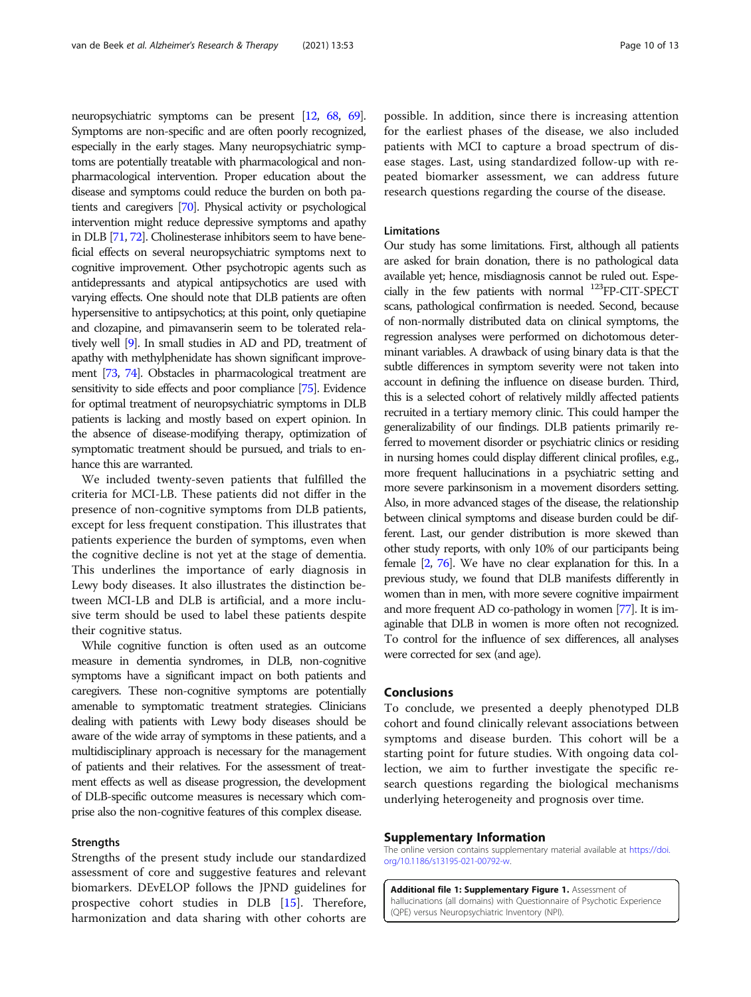neuropsychiatric symptoms can be present [\[12](#page-10-0), [68](#page-11-0), [69\]](#page-11-0). Symptoms are non-specific and are often poorly recognized, especially in the early stages. Many neuropsychiatric symptoms are potentially treatable with pharmacological and nonpharmacological intervention. Proper education about the disease and symptoms could reduce the burden on both patients and caregivers [\[70](#page-11-0)]. Physical activity or psychological intervention might reduce depressive symptoms and apathy in DLB [[71,](#page-11-0) [72](#page-12-0)]. Cholinesterase inhibitors seem to have beneficial effects on several neuropsychiatric symptoms next to cognitive improvement. Other psychotropic agents such as antidepressants and atypical antipsychotics are used with varying effects. One should note that DLB patients are often hypersensitive to antipsychotics; at this point, only quetiapine and clozapine, and pimavanserin seem to be tolerated relatively well [[9](#page-10-0)]. In small studies in AD and PD, treatment of apathy with methylphenidate has shown significant improvement [\[73](#page-12-0), [74\]](#page-12-0). Obstacles in pharmacological treatment are sensitivity to side effects and poor compliance [\[75\]](#page-12-0). Evidence for optimal treatment of neuropsychiatric symptoms in DLB patients is lacking and mostly based on expert opinion. In the absence of disease-modifying therapy, optimization of symptomatic treatment should be pursued, and trials to enhance this are warranted.

We included twenty-seven patients that fulfilled the criteria for MCI-LB. These patients did not differ in the presence of non-cognitive symptoms from DLB patients, except for less frequent constipation. This illustrates that patients experience the burden of symptoms, even when the cognitive decline is not yet at the stage of dementia. This underlines the importance of early diagnosis in Lewy body diseases. It also illustrates the distinction between MCI-LB and DLB is artificial, and a more inclusive term should be used to label these patients despite their cognitive status.

While cognitive function is often used as an outcome measure in dementia syndromes, in DLB, non-cognitive symptoms have a significant impact on both patients and caregivers. These non-cognitive symptoms are potentially amenable to symptomatic treatment strategies. Clinicians dealing with patients with Lewy body diseases should be aware of the wide array of symptoms in these patients, and a multidisciplinary approach is necessary for the management of patients and their relatives. For the assessment of treatment effects as well as disease progression, the development of DLB-specific outcome measures is necessary which comprise also the non-cognitive features of this complex disease.

#### Strengths

Strengths of the present study include our standardized assessment of core and suggestive features and relevant biomarkers. DEvELOP follows the JPND guidelines for prospective cohort studies in DLB [\[15](#page-10-0)]. Therefore, harmonization and data sharing with other cohorts are possible. In addition, since there is increasing attention for the earliest phases of the disease, we also included patients with MCI to capture a broad spectrum of disease stages. Last, using standardized follow-up with repeated biomarker assessment, we can address future research questions regarding the course of the disease.

# **Limitations**

Our study has some limitations. First, although all patients are asked for brain donation, there is no pathological data available yet; hence, misdiagnosis cannot be ruled out. Especially in the few patients with normal 123FP-CIT-SPECT scans, pathological confirmation is needed. Second, because of non-normally distributed data on clinical symptoms, the regression analyses were performed on dichotomous determinant variables. A drawback of using binary data is that the subtle differences in symptom severity were not taken into account in defining the influence on disease burden. Third, this is a selected cohort of relatively mildly affected patients recruited in a tertiary memory clinic. This could hamper the generalizability of our findings. DLB patients primarily referred to movement disorder or psychiatric clinics or residing in nursing homes could display different clinical profiles, e.g., more frequent hallucinations in a psychiatric setting and more severe parkinsonism in a movement disorders setting. Also, in more advanced stages of the disease, the relationship between clinical symptoms and disease burden could be different. Last, our gender distribution is more skewed than other study reports, with only 10% of our participants being female [[2](#page-10-0), [76](#page-12-0)]. We have no clear explanation for this. In a previous study, we found that DLB manifests differently in women than in men, with more severe cognitive impairment and more frequent AD co-pathology in women [\[77\]](#page-12-0). It is imaginable that DLB in women is more often not recognized. To control for the influence of sex differences, all analyses were corrected for sex (and age).

# Conclusions

To conclude, we presented a deeply phenotyped DLB cohort and found clinically relevant associations between symptoms and disease burden. This cohort will be a starting point for future studies. With ongoing data collection, we aim to further investigate the specific research questions regarding the biological mechanisms underlying heterogeneity and prognosis over time.

# Supplementary Information

The online version contains supplementary material available at [https://doi.](https://doi.org/10.1186/s13195-021-00792-w) [org/10.1186/s13195-021-00792-w](https://doi.org/10.1186/s13195-021-00792-w).

Additional file 1: Supplementary Figure 1. Assessment of hallucinations (all domains) with Questionnaire of Psychotic Experience (QPE) versus Neuropsychiatric Inventory (NPI).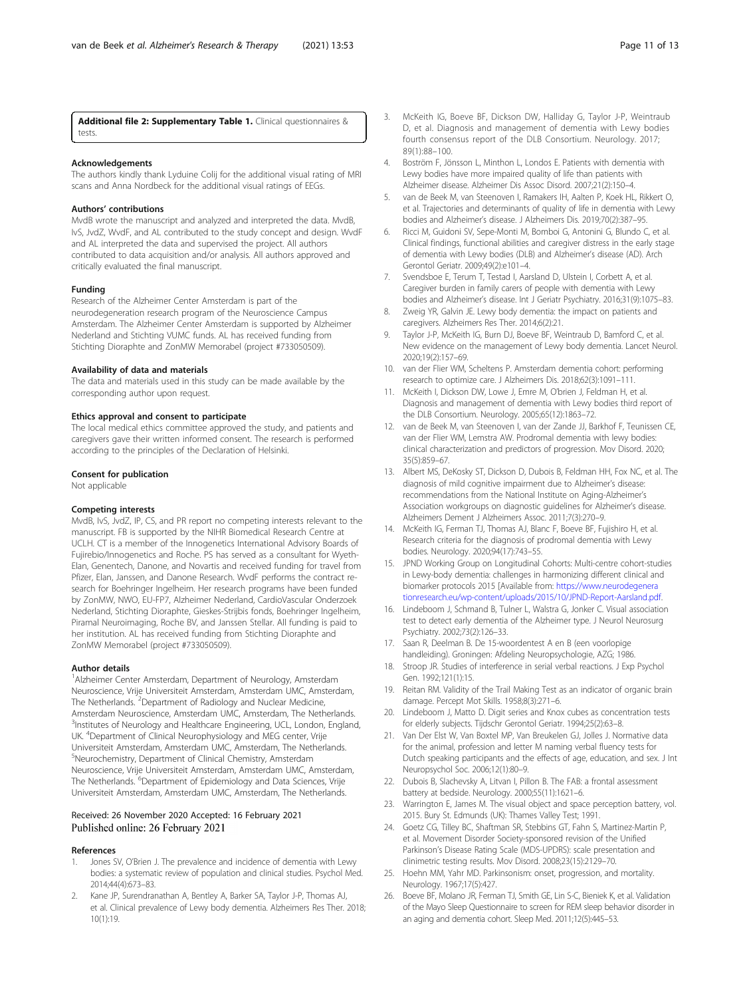<span id="page-10-0"></span>Additional file 2: Supplementary Table 1. Clinical questionnaires & tests.

## Acknowledgements

The authors kindly thank Lyduine Colij for the additional visual rating of MRI scans and Anna Nordbeck for the additional visual ratings of EEGs.

#### Authors' contributions

MvdB wrote the manuscript and analyzed and interpreted the data. MvdB, IvS, JvdZ, WvdF, and AL contributed to the study concept and design. WvdF and AL interpreted the data and supervised the project. All authors contributed to data acquisition and/or analysis. All authors approved and critically evaluated the final manuscript.

#### Funding

Research of the Alzheimer Center Amsterdam is part of the neurodegeneration research program of the Neuroscience Campus Amsterdam. The Alzheimer Center Amsterdam is supported by Alzheimer Nederland and Stichting VUMC funds. AL has received funding from Stichting Dioraphte and ZonMW Memorabel (project #733050509).

#### Availability of data and materials

The data and materials used in this study can be made available by the corresponding author upon request.

#### Ethics approval and consent to participate

The local medical ethics committee approved the study, and patients and caregivers gave their written informed consent. The research is performed according to the principles of the Declaration of Helsinki.

#### Consent for publication

Not applicable

#### Competing interests

MvdB, IvS, JvdZ, IP, CS, and PR report no competing interests relevant to the manuscript. FB is supported by the NIHR Biomedical Research Centre at UCLH. CT is a member of the Innogenetics International Advisory Boards of Fujirebio/Innogenetics and Roche. PS has served as a consultant for Wyeth-Elan, Genentech, Danone, and Novartis and received funding for travel from Pfizer, Elan, Janssen, and Danone Research. WvdF performs the contract research for Boehringer Ingelheim. Her research programs have been funded by ZonMW, NWO, EU-FP7, Alzheimer Nederland, CardioVascular Onderzoek Nederland, Stichting Dioraphte, Gieskes-Strijbis fonds, Boehringer Ingelheim, Piramal Neuroimaging, Roche BV, and Janssen Stellar. All funding is paid to her institution. AL has received funding from Stichting Dioraphte and ZonMW Memorabel (project #733050509).

#### Author details

<sup>1</sup> Alzheimer Center Amsterdam, Department of Neurology, Amsterdam Neuroscience, Vrije Universiteit Amsterdam, Amsterdam UMC, Amsterdam, The Netherlands. <sup>2</sup>Department of Radiology and Nuclear Medicine, Amsterdam Neuroscience, Amsterdam UMC, Amsterdam, The Netherlands. <sup>3</sup>Institutes of Neurology and Healthcare Engineering, UCL, London, England, UK. <sup>4</sup> Department of Clinical Neurophysiology and MEG center, Vrije Universiteit Amsterdam, Amsterdam UMC, Amsterdam, The Netherlands. 5 Neurochemistry, Department of Clinical Chemistry, Amsterdam Neuroscience, Vrije Universiteit Amsterdam, Amsterdam UMC, Amsterdam, The Netherlands. <sup>6</sup>Department of Epidemiology and Data Sciences, Vrije Universiteit Amsterdam, Amsterdam UMC, Amsterdam, The Netherlands.

#### Received: 26 November 2020 Accepted: 16 February 2021 Published online: 26 February 2021

#### References

- Jones SV, O'Brien J. The prevalence and incidence of dementia with Lewy bodies: a systematic review of population and clinical studies. Psychol Med. 2014;44(4):673–83.
- Kane JP, Surendranathan A, Bentley A, Barker SA, Taylor J-P, Thomas AJ, et al. Clinical prevalence of Lewy body dementia. Alzheimers Res Ther. 2018; 10(1):19.
- 3. McKeith IG, Boeve BF, Dickson DW, Halliday G, Taylor J-P, Weintraub D, et al. Diagnosis and management of dementia with Lewy bodies fourth consensus report of the DLB Consortium. Neurology. 2017; 89(1):88–100.
- 4. Boström F, Jönsson L, Minthon L, Londos E. Patients with dementia with Lewy bodies have more impaired quality of life than patients with Alzheimer disease. Alzheimer Dis Assoc Disord. 2007;21(2):150–4.
- 5. van de Beek M, van Steenoven I, Ramakers IH, Aalten P, Koek HL, Rikkert O, et al. Trajectories and determinants of quality of life in dementia with Lewy bodies and Alzheimer's disease. J Alzheimers Dis. 2019;70(2):387–95.
- Ricci M, Guidoni SV, Sepe-Monti M, Bomboi G, Antonini G, Blundo C, et al. Clinical findings, functional abilities and caregiver distress in the early stage of dementia with Lewy bodies (DLB) and Alzheimer's disease (AD). Arch Gerontol Geriatr. 2009;49(2):e101–4.
- 7. Svendsboe E, Terum T, Testad I, Aarsland D, Ulstein I, Corbett A, et al. Caregiver burden in family carers of people with dementia with Lewy bodies and Alzheimer's disease. Int J Geriatr Psychiatry. 2016;31(9):1075–83.
- 8. Zweig YR, Galvin JE. Lewy body dementia: the impact on patients and caregivers. Alzheimers Res Ther. 2014;6(2):21.
- 9. Taylor J-P, McKeith IG, Burn DJ, Boeve BF, Weintraub D, Bamford C, et al. New evidence on the management of Lewy body dementia. Lancet Neurol. 2020;19(2):157–69.
- 10. van der Flier WM, Scheltens P. Amsterdam dementia cohort: performing research to optimize care. J Alzheimers Dis. 2018;62(3):1091–111.
- 11. McKeith I, Dickson DW, Lowe J, Emre M, O'brien J, Feldman H, et al. Diagnosis and management of dementia with Lewy bodies third report of the DLB Consortium. Neurology. 2005;65(12):1863–72.
- 12. van de Beek M, van Steenoven I, van der Zande JJ, Barkhof F, Teunissen CE, van der Flier WM, Lemstra AW. Prodromal dementia with lewy bodies: clinical characterization and predictors of progression. Mov Disord. 2020; 35(5):859–67.
- 13. Albert MS, DeKosky ST, Dickson D, Dubois B, Feldman HH, Fox NC, et al. The diagnosis of mild cognitive impairment due to Alzheimer's disease: recommendations from the National Institute on Aging-Alzheimer's Association workgroups on diagnostic guidelines for Alzheimer's disease. Alzheimers Dement J Alzheimers Assoc. 2011;7(3):270–9.
- 14. McKeith IG, Ferman TJ, Thomas AJ, Blanc F, Boeve BF, Fujishiro H, et al. Research criteria for the diagnosis of prodromal dementia with Lewy bodies. Neurology. 2020;94(17):743–55.
- 15. JPND Working Group on Longitudinal Cohorts: Multi-centre cohort-studies in Lewy-body dementia: challenges in harmonizing different clinical and biomarker protocols 2015 [Available from: [https://www.neurodegenera](https://www.neurodegenerationresearch.eu/wp-content/uploads/2015/10/JPND-Report-Aarsland.pdf) [tionresearch.eu/wp-content/uploads/2015/10/JPND-Report-Aarsland.pdf.](https://www.neurodegenerationresearch.eu/wp-content/uploads/2015/10/JPND-Report-Aarsland.pdf)
- 16. Lindeboom J, Schmand B, Tulner L, Walstra G, Jonker C. Visual association test to detect early dementia of the Alzheimer type. J Neurol Neurosurg Psychiatry. 2002;73(2):126–33.
- 17. Saan R, Deelman B. De 15-woordentest A en B (een voorlopige handleiding). Groningen: Afdeling Neuropsychologie, AZG; 1986.
- 18. Stroop JR. Studies of interference in serial verbal reactions. J Exp Psychol Gen. 1992;121(1):15.
- 19. Reitan RM. Validity of the Trail Making Test as an indicator of organic brain damage. Percept Mot Skills. 1958;8(3):271–6.
- 20. Lindeboom J, Matto D. Digit series and Knox cubes as concentration tests for elderly subjects. Tijdschr Gerontol Geriatr. 1994;25(2):63–8.
- 21. Van Der Elst W, Van Boxtel MP, Van Breukelen GJ, Jolles J. Normative data for the animal, profession and letter M naming verbal fluency tests for Dutch speaking participants and the effects of age, education, and sex. J Int Neuropsychol Soc. 2006;12(1):80–9.
- 22. Dubois B, Slachevsky A, Litvan I, Pillon B. The FAB: a frontal assessment battery at bedside. Neurology. 2000;55(11):1621–6.
- 23. Warrington E, James M. The visual object and space perception battery, vol. 2015. Bury St. Edmunds (UK): Thames Valley Test; 1991.
- 24. Goetz CG, Tilley BC, Shaftman SR, Stebbins GT, Fahn S, Martinez-Martin P, et al. Movement Disorder Society-sponsored revision of the Unified Parkinson's Disease Rating Scale (MDS-UPDRS): scale presentation and clinimetric testing results. Mov Disord. 2008;23(15):2129–70.
- 25. Hoehn MM, Yahr MD. Parkinsonism: onset, progression, and mortality. Neurology. 1967;17(5):427.
- 26. Boeve BF, Molano JR, Ferman TJ, Smith GE, Lin S-C, Bieniek K, et al. Validation of the Mayo Sleep Questionnaire to screen for REM sleep behavior disorder in an aging and dementia cohort. Sleep Med. 2011;12(5):445–53.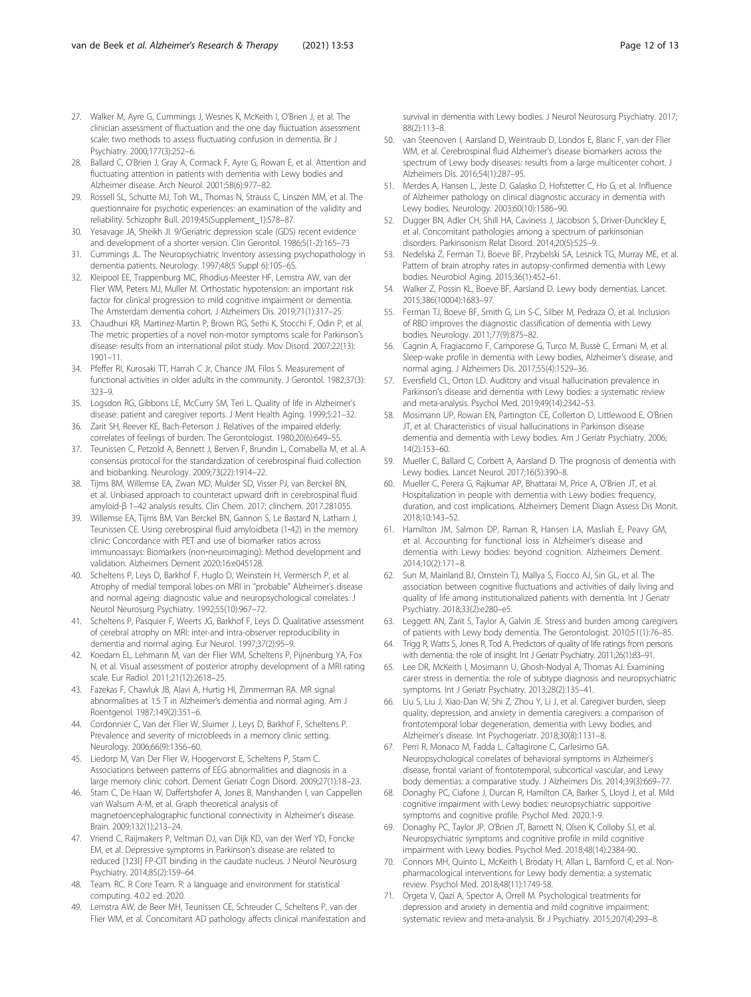- <span id="page-11-0"></span>27. Walker M, Ayre G, Cummings J, Wesnes K, McKeith I, O'Brien J, et al. The clinician assessment of fluctuation and the one day fluctuation assessment scale: two methods to assess fluctuating confusion in dementia. Br J Psychiatry. 2000;177(3):252–6.
- 28. Ballard C, O'Brien J, Gray A, Cormack F, Ayre G, Rowan E, et al. Attention and fluctuating attention in patients with dementia with Lewy bodies and Alzheimer disease. Arch Neurol. 2001;58(6):977–82.
- 29. Rossell SL, Schutte MJ, Toh WL, Thomas N, Strauss C, Linszen MM, et al. The questionnaire for psychotic experiences: an examination of the validity and reliability. Schizophr Bull. 2019;45(Supplement\_1):S78–87.
- 30. Yesavage JA, Sheikh JI. 9/Geriatric depression scale (GDS) recent evidence and development of a shorter version. Clin Gerontol. 1986;5(1-2):165–73
- 31. Cummings JL. The Neuropsychiatric Inventory assessing psychopathology in dementia patients. Neurology. 1997;48(5 Suppl 6):10S–6S.
- 32. Kleipool EE, Trappenburg MC, Rhodius-Meester HF, Lemstra AW, van der Flier WM, Peters MJ, Muller M. Orthostatic hypotension: an important risk factor for clinical progression to mild cognitive impairment or dementia. The Amsterdam dementia cohort. J Alzheimers Dis. 2019;71(1):317–25.
- 33. Chaudhuri KR, Martinez-Martin P, Brown RG, Sethi K, Stocchi F, Odin P, et al. The metric properties of a novel non-motor symptoms scale for Parkinson's disease: results from an international pilot study. Mov Disord. 2007;22(13): 1901–11.
- 34. Pfeffer RI, Kurosaki TT, Harrah C Jr, Chance JM, Filos S. Measurement of functional activities in older adults in the community. J Gerontol. 1982;37(3): 323–9.
- 35. Logsdon RG, Gibbons LE, McCurry SM, Teri L. Quality of life in Alzheimer's disease: patient and caregiver reports. J Ment Health Aging. 1999;5:21–32.
- 36. Zarit SH, Reever KE, Bach-Peterson J. Relatives of the impaired elderly: correlates of feelings of burden. The Gerontologist. 1980;20(6):649–55.
- 37. Teunissen C, Petzold A, Bennett J, Berven F, Brundin L, Comabella M, et al. A consensus protocol for the standardization of cerebrospinal fluid collection and biobanking. Neurology. 2009;73(22):1914–22.
- 38. Tijms BM, Willemse EA, Zwan MD, Mulder SD, Visser PJ, van Berckel BN, et al. Unbiased approach to counteract upward drift in cerebrospinal fluid amyloid-β 1–42 analysis results. Clin Chem. 2017; clinchem. 2017.281055.
- 39. Willemse EA, Tijms BM, Van Berckel BN, Gannon S, Le Bastard N, Latham J, Teunissen CE. Using cerebrospinal fluid amyloidbeta (1‐42) in the memory clinic: Concordance with PET and use of biomarker ratios across immunoassays: Biomarkers (non‐neuroimaging): Method development and validation. Alzheimers Dement 2020;16:e045128.
- 40. Scheltens P, Leys D, Barkhof F, Huglo D, Weinstein H, Vermersch P, et al. Atrophy of medial temporal lobes on MRI in "probable" Alzheimer's disease and normal ageing: diagnostic value and neuropsychological correlates. J Neurol Neurosurg Psychiatry. 1992;55(10):967–72.
- 41. Scheltens P, Pasquier F, Weerts JG, Barkhof F, Leys D. Qualitative assessment of cerebral atrophy on MRI: inter-and intra-observer reproducibility in dementia and normal aging. Eur Neurol. 1997;37(2):95–9.
- 42. Koedam EL, Lehmann M, van der Flier WM, Scheltens P, Pijnenburg YA, Fox N, et al. Visual assessment of posterior atrophy development of a MRI rating scale. Eur Radiol. 2011;21(12):2618–25.
- 43. Fazekas F, Chawluk JB, Alavi A, Hurtig HI, Zimmerman RA. MR signal abnormalities at 1.5 T in Alzheimer's dementia and normal aging. Am J Roentgenol. 1987;149(2):351–6.
- 44. Cordonnier C, Van der Flier W, Sluimer J, Leys D, Barkhof F, Scheltens P. Prevalence and severity of microbleeds in a memory clinic setting. Neurology. 2006;66(9):1356–60.
- 45. Liedorp M, Van Der Flier W, Hoogervorst E, Scheltens P, Stam C. Associations between patterns of EEG abnormalities and diagnosis in a large memory clinic cohort. Dement Geriatr Cogn Disord. 2009;27(1):18–23.
- 46. Stam C, De Haan W, Daffertshofer A, Jones B, Manshanden I, van Cappellen van Walsum A-M, et al. Graph theoretical analysis of magnetoencephalographic functional connectivity in Alzheimer's disease. Brain. 2009;132(1):213–24.
- 47. Vriend C, Raijmakers P, Veltman DJ, van Dijk KD, van der Werf YD, Foncke EM, et al. Depressive symptoms in Parkinson's disease are related to reduced [123I] FP-CIT binding in the caudate nucleus. J Neurol Neurosurg Psychiatry. 2014;85(2):159–64.
- 48. Team. RC. R Core Team. R: a language and environment for statistical computing. 4.0.2 ed. 2020.
- 49. Lemstra AW, de Beer MH, Teunissen CE, Schreuder C, Scheltens P, van der Flier WM, et al. Concomitant AD pathology affects clinical manifestation and

survival in dementia with Lewy bodies. J Neurol Neurosurg Psychiatry. 2017; 88(2):113–8.

- 50. van Steenoven I, Aarsland D, Weintraub D, Londos E, Blanc F, van der Flier WM, et al. Cerebrospinal fluid Alzheimer's disease biomarkers across the spectrum of Lewy body diseases: results from a large multicenter cohort. J Alzheimers Dis. 2016;54(1):287–95.
- 51. Merdes A, Hansen L, Jeste D, Galasko D, Hofstetter C, Ho G, et al. Influence of Alzheimer pathology on clinical diagnostic accuracy in dementia with Lewy bodies. Neurology. 2003;60(10):1586–90.
- 52. Dugger BN, Adler CH, Shill HA, Caviness J, Jacobson S, Driver-Dunckley E, et al. Concomitant pathologies among a spectrum of parkinsonian disorders. Parkinsonism Relat Disord. 2014;20(5):525–9.
- 53. Nedelska Z, Ferman TJ, Boeve BF, Przybelski SA, Lesnick TG, Murray ME, et al. Pattern of brain atrophy rates in autopsy-confirmed dementia with Lewy bodies. Neurobiol Aging. 2015;36(1):452–61.
- 54. Walker Z, Possin KL, Boeve BF, Aarsland D. Lewy body dementias. Lancet. 2015;386(10004):1683–97.
- 55. Ferman TJ, Boeve BF, Smith G, Lin S-C, Silber M, Pedraza O, et al. Inclusion of RBD improves the diagnostic classification of dementia with Lewy bodies. Neurology. 2011;77(9):875–82.
- 56. Cagnin A, Fragiacomo F, Camporese G, Turco M, Bussè C, Ermani M, et al. Sleep-wake profile in dementia with Lewy bodies, Alzheimer's disease, and normal aging. J Alzheimers Dis. 2017;55(4):1529–36.
- 57. Eversfield CL, Orton LD. Auditory and visual hallucination prevalence in Parkinson's disease and dementia with Lewy bodies: a systematic review and meta-analysis. Psychol Med. 2019;49(14):2342–53.
- 58. Mosimann UP, Rowan EN, Partington CE, Collerton D, Littlewood E, O'Brien JT, et al. Characteristics of visual hallucinations in Parkinson disease dementia and dementia with Lewy bodies. Am J Geriatr Psychiatry. 2006; 14(2):153–60.
- 59. Mueller C, Ballard C, Corbett A, Aarsland D. The prognosis of dementia with Lewy bodies. Lancet Neurol. 2017;16(5):390–8.
- 60. Mueller C, Perera G, Rajkumar AP, Bhattarai M, Price A, O'Brien JT, et al. Hospitalization in people with dementia with Lewy bodies: frequency, duration, and cost implications. Alzheimers Dement Diagn Assess Dis Monit. 2018;10:143–52.
- 61. Hamilton JM, Salmon DP, Raman R, Hansen LA, Masliah E, Peavy GM, et al. Accounting for functional loss in Alzheimer's disease and dementia with Lewy bodies: beyond cognition. Alzheimers Dement. 2014;10(2):171–8.
- 62. Sun M, Mainland BJ, Ornstein TJ, Mallya S, Fiocco AJ, Sin GL, et al. The association between cognitive fluctuations and activities of daily living and quality of life among institutionalized patients with dementia. Int J Geriatr Psychiatry. 2018;33(2):e280–e5.
- 63. Leggett AN, Zarit S, Taylor A, Galvin JE. Stress and burden among caregivers of patients with Lewy body dementia. The Gerontologist. 2010;51(1):76–85.
- Trigg R, Watts S, Jones R, Tod A. Predictors of quality of life ratings from persons with dementia: the role of insight. Int J Geriatr Psychiatry. 2011;26(1):83–91.
- 65. Lee DR, McKeith I, Mosimann U, Ghosh-Nodyal A, Thomas AJ. Examining carer stress in dementia: the role of subtype diagnosis and neuropsychiatric symptoms. Int J Geriatr Psychiatry. 2013;28(2):135–41.
- 66. Liu S, Liu J, Xiao-Dan W, Shi Z, Zhou Y, Li J, et al. Caregiver burden, sleep quality, depression, and anxiety in dementia caregivers: a comparison of frontotemporal lobar degeneration, dementia with Lewy bodies, and Alzheimer's disease. Int Psychogeriatr. 2018;30(8):1131–8.
- 67. Perri R, Monaco M, Fadda L, Caltagirone C, Carlesimo GA. Neuropsychological correlates of behavioral symptoms in Alzheimer's disease, frontal variant of frontotemporal, subcortical vascular, and Lewy body dementias: a comparative study. J Alzheimers Dis. 2014;39(3):669–77.
- 68. Donaghy PC, Ciafone J, Durcan R, Hamilton CA, Barker S, Lloyd J, et al. Mild cognitive impairment with Lewy bodies: neuropsychiatric supportive symptoms and cognitive profile. Psychol Med. 2020:1-9.
- 69. Donaghy PC, Taylor JP, O'Brien JT, Barnett N, Olsen K, Colloby SJ, et al. Neuropsychiatric symptoms and cognitive profile in mild cognitive impairment with Lewy bodies. Psychol Med. 2018;48(14):2384-90.
- 70. Connors MH, Quinto L, McKeith I, Brodaty H, Allan L, Bamford C, et al. Nonpharmacological interventions for Lewy body dementia: a systematic review. Psychol Med. 2018;48(11):1749-58.
- 71. Orgeta V, Qazi A, Spector A, Orrell M. Psychological treatments for depression and anxiety in dementia and mild cognitive impairment: systematic review and meta-analysis. Br J Psychiatry. 2015;207(4):293–8.